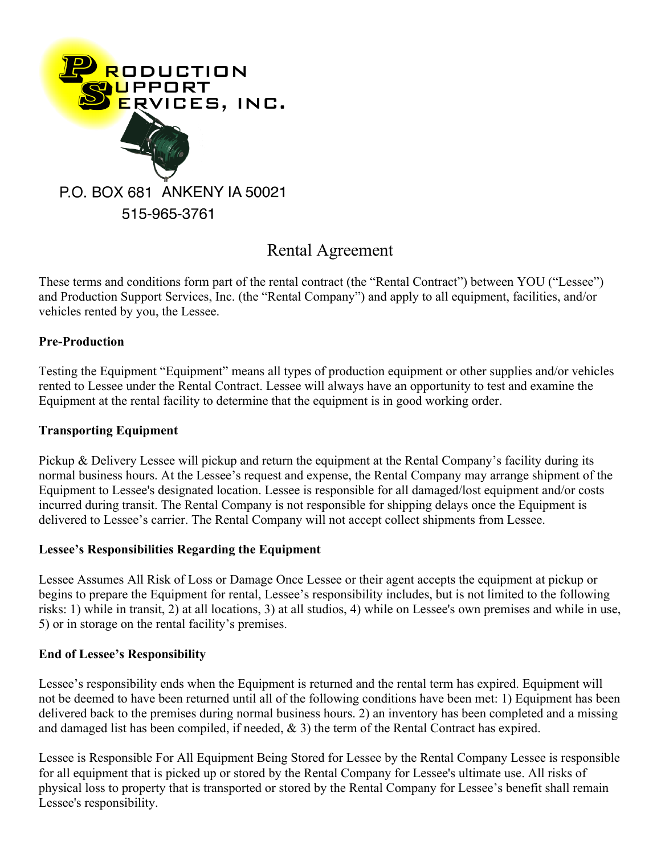

# Rental Agreement

These terms and conditions form part of the rental contract (the "Rental Contract") between YOU ("Lessee") and Production Support Services, Inc. (the "Rental Company") and apply to all equipment, facilities, and/or vehicles rented by you, the Lessee.

## **Pre-Production**

Testing the Equipment "Equipment" means all types of production equipment or other supplies and/or vehicles rented to Lessee under the Rental Contract. Lessee will always have an opportunity to test and examine the Equipment at the rental facility to determine that the equipment is in good working order.

## **Transporting Equipment**

Pickup & Delivery Lessee will pickup and return the equipment at the Rental Company's facility during its normal business hours. At the Lessee's request and expense, the Rental Company may arrange shipment of the Equipment to Lessee's designated location. Lessee is responsible for all damaged/lost equipment and/or costs incurred during transit. The Rental Company is not responsible for shipping delays once the Equipment is delivered to Lessee's carrier. The Rental Company will not accept collect shipments from Lessee.

## **Lessee's Responsibilities Regarding the Equipment**

Lessee Assumes All Risk of Loss or Damage Once Lessee or their agent accepts the equipment at pickup or begins to prepare the Equipment for rental, Lessee's responsibility includes, but is not limited to the following risks: 1) while in transit, 2) at all locations, 3) at all studios, 4) while on Lessee's own premises and while in use, 5) or in storage on the rental facility's premises.

## **End of Lessee's Responsibility**

Lessee's responsibility ends when the Equipment is returned and the rental term has expired. Equipment will not be deemed to have been returned until all of the following conditions have been met: 1) Equipment has been delivered back to the premises during normal business hours. 2) an inventory has been completed and a missing and damaged list has been compiled, if needed, & 3) the term of the Rental Contract has expired.

Lessee is Responsible For All Equipment Being Stored for Lessee by the Rental Company Lessee is responsible for all equipment that is picked up or stored by the Rental Company for Lessee's ultimate use. All risks of physical loss to property that is transported or stored by the Rental Company for Lessee's benefit shall remain Lessee's responsibility.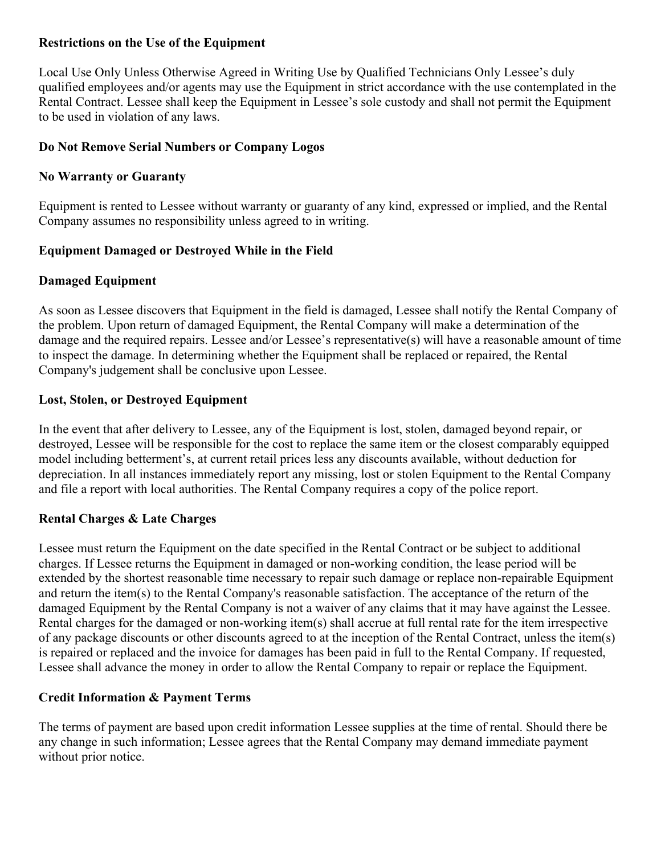#### **Restrictions on the Use of the Equipment**

Local Use Only Unless Otherwise Agreed in Writing Use by Qualified Technicians Only Lessee's duly qualified employees and/or agents may use the Equipment in strict accordance with the use contemplated in the Rental Contract. Lessee shall keep the Equipment in Lessee's sole custody and shall not permit the Equipment to be used in violation of any laws.

## **Do Not Remove Serial Numbers or Company Logos**

## **No Warranty or Guaranty**

Equipment is rented to Lessee without warranty or guaranty of any kind, expressed or implied, and the Rental Company assumes no responsibility unless agreed to in writing.

## **Equipment Damaged or Destroyed While in the Field**

## **Damaged Equipment**

As soon as Lessee discovers that Equipment in the field is damaged, Lessee shall notify the Rental Company of the problem. Upon return of damaged Equipment, the Rental Company will make a determination of the damage and the required repairs. Lessee and/or Lessee's representative(s) will have a reasonable amount of time to inspect the damage. In determining whether the Equipment shall be replaced or repaired, the Rental Company's judgement shall be conclusive upon Lessee.

## **Lost, Stolen, or Destroyed Equipment**

In the event that after delivery to Lessee, any of the Equipment is lost, stolen, damaged beyond repair, or destroyed, Lessee will be responsible for the cost to replace the same item or the closest comparably equipped model including betterment's, at current retail prices less any discounts available, without deduction for depreciation. In all instances immediately report any missing, lost or stolen Equipment to the Rental Company and file a report with local authorities. The Rental Company requires a copy of the police report.

## **Rental Charges & Late Charges**

Lessee must return the Equipment on the date specified in the Rental Contract or be subject to additional charges. If Lessee returns the Equipment in damaged or non-working condition, the lease period will be extended by the shortest reasonable time necessary to repair such damage or replace non-repairable Equipment and return the item(s) to the Rental Company's reasonable satisfaction. The acceptance of the return of the damaged Equipment by the Rental Company is not a waiver of any claims that it may have against the Lessee. Rental charges for the damaged or non-working item(s) shall accrue at full rental rate for the item irrespective of any package discounts or other discounts agreed to at the inception of the Rental Contract, unless the item(s) is repaired or replaced and the invoice for damages has been paid in full to the Rental Company. If requested, Lessee shall advance the money in order to allow the Rental Company to repair or replace the Equipment.

# **Credit Information & Payment Terms**

The terms of payment are based upon credit information Lessee supplies at the time of rental. Should there be any change in such information; Lessee agrees that the Rental Company may demand immediate payment without prior notice.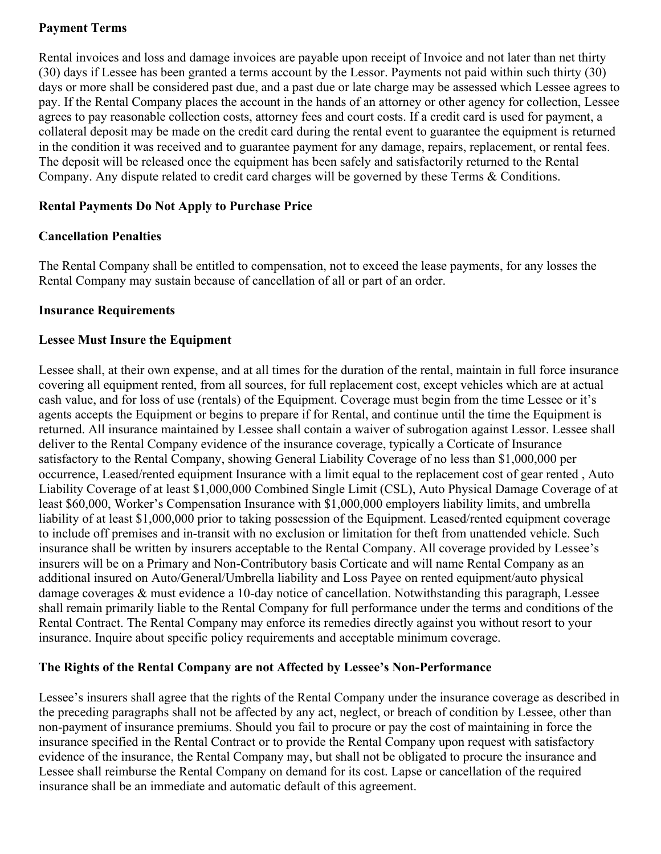## **Payment Terms**

Rental invoices and loss and damage invoices are payable upon receipt of Invoice and not later than net thirty (30) days if Lessee has been granted a terms account by the Lessor. Payments not paid within such thirty (30) days or more shall be considered past due, and a past due or late charge may be assessed which Lessee agrees to pay. If the Rental Company places the account in the hands of an attorney or other agency for collection, Lessee agrees to pay reasonable collection costs, attorney fees and court costs. If a credit card is used for payment, a collateral deposit may be made on the credit card during the rental event to guarantee the equipment is returned in the condition it was received and to guarantee payment for any damage, repairs, replacement, or rental fees. The deposit will be released once the equipment has been safely and satisfactorily returned to the Rental Company. Any dispute related to credit card charges will be governed by these Terms & Conditions.

## **Rental Payments Do Not Apply to Purchase Price**

## **Cancellation Penalties**

The Rental Company shall be entitled to compensation, not to exceed the lease payments, for any losses the Rental Company may sustain because of cancellation of all or part of an order.

#### **Insurance Requirements**

## **Lessee Must Insure the Equipment**

Lessee shall, at their own expense, and at all times for the duration of the rental, maintain in full force insurance covering all equipment rented, from all sources, for full replacement cost, except vehicles which are at actual cash value, and for loss of use (rentals) of the Equipment. Coverage must begin from the time Lessee or it's agents accepts the Equipment or begins to prepare if for Rental, and continue until the time the Equipment is returned. All insurance maintained by Lessee shall contain a waiver of subrogation against Lessor. Lessee shall deliver to the Rental Company evidence of the insurance coverage, typically a Corticate of Insurance satisfactory to the Rental Company, showing General Liability Coverage of no less than \$1,000,000 per occurrence, Leased/rented equipment Insurance with a limit equal to the replacement cost of gear rented , Auto Liability Coverage of at least \$1,000,000 Combined Single Limit (CSL), Auto Physical Damage Coverage of at least \$60,000, Worker's Compensation Insurance with \$1,000,000 employers liability limits, and umbrella liability of at least \$1,000,000 prior to taking possession of the Equipment. Leased/rented equipment coverage to include off premises and in-transit with no exclusion or limitation for theft from unattended vehicle. Such insurance shall be written by insurers acceptable to the Rental Company. All coverage provided by Lessee's insurers will be on a Primary and Non-Contributory basis Corticate and will name Rental Company as an additional insured on Auto/General/Umbrella liability and Loss Payee on rented equipment/auto physical damage coverages & must evidence a 10-day notice of cancellation. Notwithstanding this paragraph, Lessee shall remain primarily liable to the Rental Company for full performance under the terms and conditions of the Rental Contract. The Rental Company may enforce its remedies directly against you without resort to your insurance. Inquire about specific policy requirements and acceptable minimum coverage.

## **The Rights of the Rental Company are not Affected by Lessee's Non-Performance**

Lessee's insurers shall agree that the rights of the Rental Company under the insurance coverage as described in the preceding paragraphs shall not be affected by any act, neglect, or breach of condition by Lessee, other than non-payment of insurance premiums. Should you fail to procure or pay the cost of maintaining in force the insurance specified in the Rental Contract or to provide the Rental Company upon request with satisfactory evidence of the insurance, the Rental Company may, but shall not be obligated to procure the insurance and Lessee shall reimburse the Rental Company on demand for its cost. Lapse or cancellation of the required insurance shall be an immediate and automatic default of this agreement.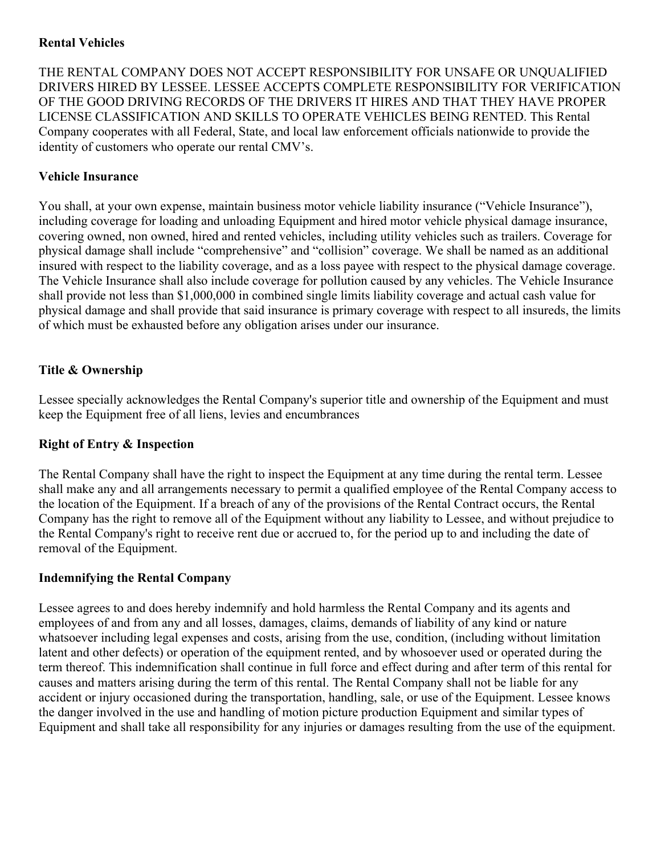## **Rental Vehicles**

THE RENTAL COMPANY DOES NOT ACCEPT RESPONSIBILITY FOR UNSAFE OR UNQUALIFIED DRIVERS HIRED BY LESSEE. LESSEE ACCEPTS COMPLETE RESPONSIBILITY FOR VERIFICATION OF THE GOOD DRIVING RECORDS OF THE DRIVERS IT HIRES AND THAT THEY HAVE PROPER LICENSE CLASSIFICATION AND SKILLS TO OPERATE VEHICLES BEING RENTED. This Rental Company cooperates with all Federal, State, and local law enforcement officials nationwide to provide the identity of customers who operate our rental CMV's.

## **Vehicle Insurance**

You shall, at your own expense, maintain business motor vehicle liability insurance ("Vehicle Insurance"), including coverage for loading and unloading Equipment and hired motor vehicle physical damage insurance, covering owned, non owned, hired and rented vehicles, including utility vehicles such as trailers. Coverage for physical damage shall include "comprehensive" and "collision" coverage. We shall be named as an additional insured with respect to the liability coverage, and as a loss payee with respect to the physical damage coverage. The Vehicle Insurance shall also include coverage for pollution caused by any vehicles. The Vehicle Insurance shall provide not less than \$1,000,000 in combined single limits liability coverage and actual cash value for physical damage and shall provide that said insurance is primary coverage with respect to all insureds, the limits of which must be exhausted before any obligation arises under our insurance.

## **Title & Ownership**

Lessee specially acknowledges the Rental Company's superior title and ownership of the Equipment and must keep the Equipment free of all liens, levies and encumbrances

## **Right of Entry & Inspection**

The Rental Company shall have the right to inspect the Equipment at any time during the rental term. Lessee shall make any and all arrangements necessary to permit a qualified employee of the Rental Company access to the location of the Equipment. If a breach of any of the provisions of the Rental Contract occurs, the Rental Company has the right to remove all of the Equipment without any liability to Lessee, and without prejudice to the Rental Company's right to receive rent due or accrued to, for the period up to and including the date of removal of the Equipment.

# **Indemnifying the Rental Company**

Lessee agrees to and does hereby indemnify and hold harmless the Rental Company and its agents and employees of and from any and all losses, damages, claims, demands of liability of any kind or nature whatsoever including legal expenses and costs, arising from the use, condition, (including without limitation latent and other defects) or operation of the equipment rented, and by whosoever used or operated during the term thereof. This indemnification shall continue in full force and effect during and after term of this rental for causes and matters arising during the term of this rental. The Rental Company shall not be liable for any accident or injury occasioned during the transportation, handling, sale, or use of the Equipment. Lessee knows the danger involved in the use and handling of motion picture production Equipment and similar types of Equipment and shall take all responsibility for any injuries or damages resulting from the use of the equipment.